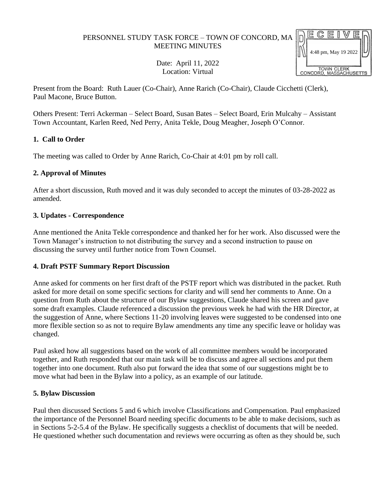### PERSONNEL STUDY TASK FORCE – TOWN OF CONCORD, MA MEETING MINUTES



Date: April 11, 2022 Location: Virtual

Present from the Board: Ruth Lauer (Co-Chair), Anne Rarich (Co-Chair), Claude Cicchetti (Clerk), Paul Macone, Bruce Button.

Others Present: Terri Ackerman – Select Board, Susan Bates – Select Board, Erin Mulcahy – Assistant Town Accountant, Karlen Reed, Ned Perry, Anita Tekle, Doug Meagher, Joseph O'Connor.

## **1. Call to Order**

The meeting was called to Order by Anne Rarich, Co-Chair at 4:01 pm by roll call.

#### **2. Approval of Minutes**

After a short discussion, Ruth moved and it was duly seconded to accept the minutes of 03-28-2022 as amended.

#### **3. Updates - Correspondence**

Anne mentioned the Anita Tekle correspondence and thanked her for her work. Also discussed were the Town Manager's instruction to not distributing the survey and a second instruction to pause on discussing the survey until further notice from Town Counsel.

## **4. Draft PSTF Summary Report Discussion**

Anne asked for comments on her first draft of the PSTF report which was distributed in the packet. Ruth asked for more detail on some specific sections for clarity and will send her comments to Anne. On a question from Ruth about the structure of our Bylaw suggestions, Claude shared his screen and gave some draft examples. Claude referenced a discussion the previous week he had with the HR Director, at the suggestion of Anne, where Sections 11-20 involving leaves were suggested to be condensed into one more flexible section so as not to require Bylaw amendments any time any specific leave or holiday was changed.

Paul asked how all suggestions based on the work of all committee members would be incorporated together, and Ruth responded that our main task will be to discuss and agree all sections and put them together into one document. Ruth also put forward the idea that some of our suggestions might be to move what had been in the Bylaw into a policy, as an example of our latitude.

## **5. Bylaw Discussion**

Paul then discussed Sections 5 and 6 which involve Classifications and Compensation. Paul emphasized the importance of the Personnel Board needing specific documents to be able to make decisions, such as in Sections 5-2-5.4 of the Bylaw. He specifically suggests a checklist of documents that will be needed. He questioned whether such documentation and reviews were occurring as often as they should be, such